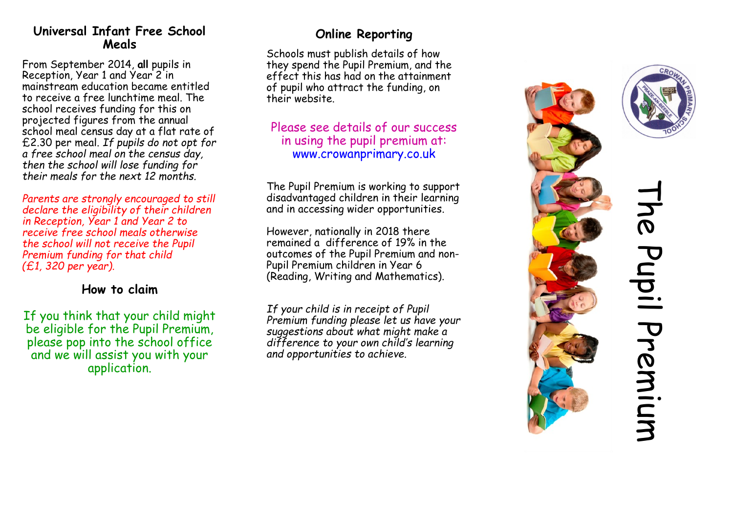## **Universal Infant Free School Meals**

From September 2014, **all** pupils in Reception, Year 1 and Year 2 in mainstream education became entitled to receive a free lunchtime meal. The school receives funding for this on projected figures from the annual school meal census day at a flat rate of £2.30 per meal. *If pupils do not opt for a free school meal on the census day, then the school will lose funding for their meals for the next 12 months.*

*Parents are strongly encouraged to still declare the eligibility of their children in Reception, Year 1 and Year 2 to receive free school meals otherwise the school will not receive the Pupil Premium funding for that child (£1, 320 per year).*

## **How to claim**

If you think that your child might be eligible for the Pupil Premium, please pop into the school office and we will assist you with your application.

## **Online Reporting**

Schools must publish details of how they spend the Pupil Premium, and the effect this has had on the attainment of pupil who attract the funding, on their website.

## Please see details of our success in using the pupil premium at: www.crowanprimary.co.uk

The Pupil Premium is working to support disadvantaged children in their learning and in accessing wider opportunities.

However, nationally in 2018 there remained a difference of 19% in the outcomes of the Pupil Premium and non-Pupil Premium children in Year 6 (Reading, Writing and Mathematics).

*If your child is in receipt of Pupil Premium funding please let us have your suggestions about what might make a difference to your own child's learning and opportunities to achieve.*





# The Pupil Premium he Pupil Premium